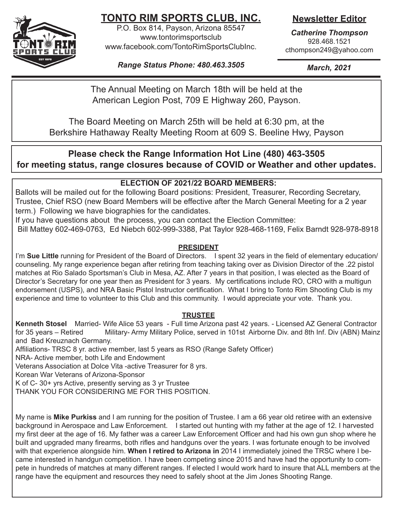

# **TONTO RIM SPORTS CLUB, INC.**

P.O. Box 814, Payson, Arizona 85547 www.tontorimsportsclub www.facebook.com/TontoRimSportsClubInc. **Newsletter Editor**

*Catherine Thompson* 928.468.1521 cthompson249@yahoo.com

*Range Status Phone: 480.463.3505*

*March, 2021*

The Annual Meeting on March 18th will be held at the American Legion Post, 709 E Highway 260, Payson.

The Board Meeting on March 25th will be held at 6:30 pm, at the Berkshire Hathaway Realty Meeting Room at 609 S. Beeline Hwy, Payson

# **Please check the Range Information Hot Line (480) 463-3505 for meeting status, range closures because of COVID or Weather and other updates.**

# **ELECTION OF 2021/22 BOARD MEMBERS:**

Ballots will be mailed out for the following Board positions: President, Treasurer, Recording Secretary, Trustee, Chief RSO (new Board Members will be effective after the March General Meeting for a 2 year term.) Following we have biographies for the candidates.

If you have questions about the process, you can contact the Election Committee:

Bill Mattey 602-469-0763, Ed Niebch 602-999-3388, Pat Taylor 928-468-1169, Felix Barndt 928-978-8918

# **PRESIDENT**

I'm **Sue Little** running for President of the Board of Directors. I spent 32 years in the field of elementary education/ counseling. My range experience began after retiring from teaching taking over as Division Director of the .22 pistol matches at Rio Salado Sportsman's Club in Mesa, AZ. After 7 years in that position, I was elected as the Board of Director's Secretary for one year then as President for 3 years. My certifications include RO, CRO with a multigun endorsement (USPS), and NRA Basic Pistol Instructor certification. What I bring to Tonto Rim Shooting Club is my experience and time to volunteer to this Club and this community. I would appreciate your vote. Thank you.

# **TRUSTEE**

**Kenneth Stosel** Married- Wife Alice 53 years - Full time Arizona past 42 years. - Licensed AZ General Contractor for 35 years – Retired Military- Army Military Police, served in 101st Airborne Div. and 8th Inf. Div (ABN) Mainz and Bad Kreuznach Germany.

Affiliations- TRSC 8 yr. active member, last 5 years as RSO (Range Safety Officer)

NRA- Active member, both Life and Endowment

Veterans Association at Dolce Vita -active Treasurer for 8 yrs.

Korean War Veterans of Arizona-Sponsor

K of C- 30+ yrs Active, presently serving as 3 yr Trustee

THANK YOU FOR CONSIDERING ME FOR THIS POSITION.

My name is **Mike Purkiss** and I am running for the position of Trustee. I am a 66 year old retiree with an extensive background in Aerospace and Law Enforcement. I started out hunting with my father at the age of 12. I harvested my first deer at the age of 16. My father was a career Law Enforcement Officer and had his own gun shop where he built and upgraded many firearms, both rifles and handguns over the years. I was fortunate enough to be involved with that experience alongside him. **When I retired to Arizona in** 2014 I immediately joined the TRSC where I became interested in handgun competition. I have been competing since 2015 and have had the opportunity to compete in hundreds of matches at many different ranges. If elected I would work hard to insure that ALL members at the range have the equipment and resources they need to safely shoot at the Jim Jones Shooting Range.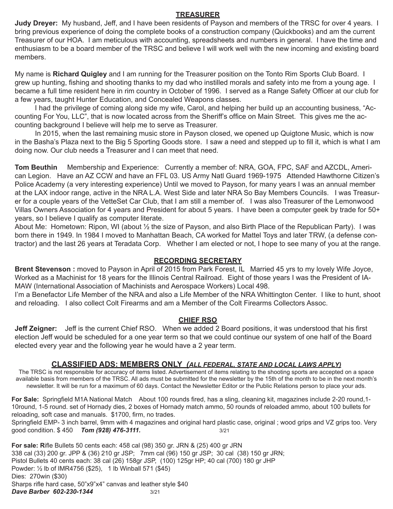#### **TREASURER**

**Judy Dreyer:** My husband, Jeff, and I have been residents of Payson and members of the TRSC for over 4 years. I bring previous experience of doing the complete books of a construction company (Quickbooks) and am the current Treasurer of our HOA. I am meticulous with accounting, spreadsheets and numbers in general. I have the time and enthusiasm to be a board member of the TRSC and believe I will work well with the new incoming and existing board members.

My name is **Richard Quigley** and I am running for the Treasurer position on the Tonto Rim Sports Club Board. I grew up hunting, fishing and shooting thanks to my dad who instilled morals and safety into me from a young age. I became a full time resident here in rim country in October of 1996. I served as a Range Safety Officer at our club for a few years, taught Hunter Education, and Concealed Weapons classes.

I had the privilege of coming along side my wife, Carol, and helping her build up an accounting business, "Accounting For You, LLC", that is now located across from the Sheriff's office on Main Street. This gives me the accounting background I believe will help me to serve as Treasurer.

In 2015, when the last remaining music store in Payson closed, we opened up Quigtone Music, which is now in the Basha's Plaza next to the Big 5 Sporting Goods store. I saw a need and stepped up to fill it, which is what I am doing now. Our club needs a Treasurer and I can meet that need.

**Tom Beuthin** Membership and Experience: Currently a member of: NRA, GOA, FPC, SAF and AZCDL, American Legion. Have an AZ CCW and have an FFL 03. US Army Natl Guard 1969-1975 Attended Hawthorne Citizen's Police Academy (a very interesting experience) Until we moved to Payson, for many years I was an annual member at the LAX indoor range, active in the NRA L.A. West Side and later NRA So Bay Members Councils. I was Treasurer for a couple years of the VetteSet Car Club, that I am still a member of. I was also Treasurer of the Lemonwood Villas Owners Association for 4 years and President for about 5 years. I have been a computer geek by trade for 50+ years, so I believe I qualify as computer literate.

About Me: Hometown: Ripon, WI (about ½ the size of Payson, and also Birth Place of the Republican Party). I was born there in 1949. In 1984 I moved to Manhattan Beach, CA worked for Mattel Toys and later TRW, (a defense contractor) and the last 26 years at Teradata Corp. Whether I am elected or not, I hope to see many of you at the range.

#### **RECORDING SECRETARY**

**Brent Stevenson**: moved to Payson in April of 2015 from Park Forest, IL Married 45 yrs to my lovely Wife Joyce, Worked as a Machinist for 18 years for the Illinois Central Railroad. Eight of those years I was the President of IA-MAW (International Association of Machinists and Aerospace Workers) Local 498.

I'm a Benefactor Life Member of the NRA and also a Life Member of the NRA Whittington Center. I like to hunt, shoot and reloading. I also collect Colt Firearms and am a Member of the Colt Firearms Collectors Assoc.

#### **CHIEF RSO**

**Jeff Zeigner:** Jeff is the current Chief RSO. When we added 2 Board positions, it was understood that his first election Jeff would be scheduled for a one year term so that we could continue our system of one half of the Board elected every year and the following year he would have a 2 year term.

#### **CLASSIFIED ADS: MEMBERS ONLY** *(ALL FEDERAL, STATE AND LOCAL LAWS APPLY)*

The TRSC is not responsible for accuracy of items listed. Advertisement of items relating to the shooting sports are accepted on a space available basis from members of the TRSC. All ads must be submitted for the newsletter by the 15th of the month to be in the next month's newsletter. It will be run for a maximum of 60 days. Contact the Newsletter Editor or the Public Relations person to place your ads.

**For Sale:** Springfield M1A National Match About 100 rounds fired, has a sling, cleaning kit, magazines include 2-20 round,1- 10round, 1-5 round. set of Hornady dies, 2 boxes of Hornady match ammo, 50 rounds of reloaded ammo, about 100 bullets for reloading, soft case and manuals. \$1700, firm, no trades.

Springfield EMP- 3 inch barrel, 9mm with 4 magazines and original hard plastic case, original ; wood grips and VZ grips too. Very good condition. \$ 450 *Tom (928) 476-3111.* 3/21

**For sale: R**ifle Bullets 50 cents each: 458 cal (98) 350 gr. JRN & (25) 400 gr JRN 338 cal (33) 200 gr. JPP & (36) 210 gr JSP; 7mm cal (96) 150 gr JSP; 30 cal (38) 150 gr JRN; Pistol Bullets 40 cents each: 38 cal (26) 158gr JSP, (100) 125gr HP; 40 cal (700) 180 gr JHP Powder: ½ lb of IMR4756 (\$25), 1 lb Winball 571 (\$45) Dies: 270win (\$30) Sharps rifle hard case, 50"x9"x4" canvas and leather style \$40 *Dave Barber 602-230-1344* 3/21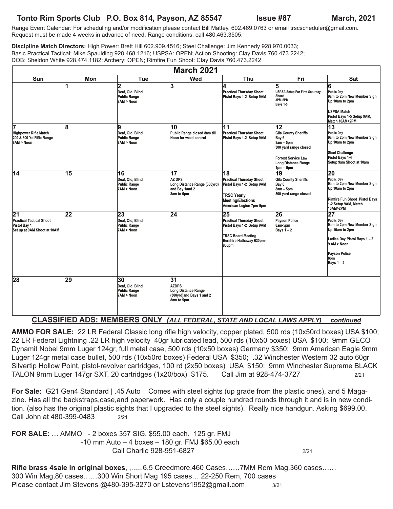# **Tonto Rim Sports Club P.O. Box 814, Payson, AZ 85547 Issue #87 March, 2021**

Range Event Calendar: For scheduling and/or modification please contact Bill Mattey, 602.469.0763 or email trscscheduler@gmail.com. Request must be made 4 weeks in advance of need. Range conditions, call 480.463.3505.

**Discipline Match Directors:** High Power: Brett Hill 602.909.4516; Steel Challenge: Jim Kennedy 928.970.0033; Basic Practical Tactical: Mike Spaulding 928.468.1216; USPSA: OPEN; Action Shooting: Clay Davis 760.473.2242; DOB: Sheldon White 928.474.1182; Archery: OPEN; Rimfire Fun Shoot: Clay Davis 760.473.2242

| <b>March 2021</b>                                                                                 |     |                                                                                  |                                                                                     |                                                                                                                                                 |                                                                                                                                                 |                                                                                                                                                                    |  |
|---------------------------------------------------------------------------------------------------|-----|----------------------------------------------------------------------------------|-------------------------------------------------------------------------------------|-------------------------------------------------------------------------------------------------------------------------------------------------|-------------------------------------------------------------------------------------------------------------------------------------------------|--------------------------------------------------------------------------------------------------------------------------------------------------------------------|--|
| <b>Sun</b>                                                                                        | Mon | Tue                                                                              | Wed                                                                                 | Thu                                                                                                                                             | Fri                                                                                                                                             | <b>Sat</b>                                                                                                                                                         |  |
|                                                                                                   | 1   | $\overline{\mathbf{2}}$<br>Deaf, Old, Blind<br><b>Public Range</b><br>7AM > Noon | 3                                                                                   | 4<br><b>Practical Thursday Shoot</b><br>Pistol Bays 1-2 Setup 9AM                                                                               | 5<br>USPSA Setup For First Saturday<br>Shoot<br>3PM-6PM<br>Bays 1-5                                                                             | 6<br>Public Dav<br>9am to 2pm New Member Sign<br>Up 10am to 2pm<br><b>USPSA Match</b><br>Pistol Bays 1-5 Setup 9AM,<br>Match 10AM>2PM                              |  |
| 17<br>Highpower Rifle Match<br>200 & 300 Yd Rifle Range<br>8AM > Noon                             | 8   | 9<br>Deaf, Old, Blind<br><b>Public Range</b><br>7AM > Noon                       | 10<br>Public Range closed 8am till<br>Noon for weed control                         | 11<br><b>Practical Thursday Shoot</b><br>Pistol Bays 1-2 Setup 9AM                                                                              | 12<br>Gila County Sheriffs<br>Bay 6<br>$8am - 5pm$<br>300 yard range closed<br><b>Forrest Service Law</b><br>Long Distance Range<br>$1pm - 9pm$ | 13<br>Public Day<br>9am to 2pm New Member Sign<br>Up 10am to 2pm<br>Steel Challenge<br>Pistol Bays 1-4<br>Setup 9am Shoot at 10am                                  |  |
| $\overline{14}$                                                                                   | 15  | 16<br>Deaf, Old, Blind<br><b>Public Range</b><br>7AM > Noon                      | 17<br><b>AZ DPS</b><br>Long Distance Range (300yrd)<br>and Bay 1and 2<br>8am to 5pm | 18<br><b>Practical Thursday Shoot</b><br>Pistol Bays 1-2 Setup 9AM<br><b>TRSC Yearly</b><br><b>Meeting/Elections</b><br>American Legion 7pm-9pm | 19<br>Gila County Sheriffs<br>Bay 6<br>$8am - 5pm$<br>300 yard range closed                                                                     | 20<br>Public Dav<br>9am to 2pm New Member Sign<br>Up 10am to 2pm<br>Rimfire Fun Shoot Pistol Bays<br>1-2 Setup 9AM, Match<br>10AM>2PM                              |  |
| $\overline{21}$<br><b>Practical Tactical Shoot</b><br>Pistol Bay 1<br>Set up at 9AM Shoot at 10AM | 22  | 23<br>Deaf, Old, Blind<br><b>Public Range</b><br>7AM > Noon                      | $\overline{24}$                                                                     | 25<br><b>Practical Thursday Shoot</b><br>Pistol Bays 1-2 Setup 9AM<br><b>TRSC Board Meeting</b><br>Bershire Hathaway 630pm-<br>830pm            | 26<br>Payson Police<br>8am-5pm<br>Bays $1-2$                                                                                                    | $\overline{27}$<br>Public Dav<br>9am to 2pm New Member Sign<br>Up 10am to 2pm<br>Ladies Day Pistol Bays 1-2<br>9 AM > Noon<br>Payson Police<br>8pm<br>Bays $1 - 2$ |  |
| 28                                                                                                | 29  | 30<br>Deaf, Old, Blind<br><b>Public Range</b><br>7AM > Noon                      | 31<br><b>AZDPS</b><br>Long Distance Range<br>(300yrd)and Bays 1 and 2<br>8am to 5pm |                                                                                                                                                 |                                                                                                                                                 |                                                                                                                                                                    |  |

**CLASSIFIED ADS: MEMBERS ONLY** *(ALL FEDERAL, STATE AND LOCAL LAWS APPLY) continued*

**AMMO FOR SALE:** 22 LR Federal Classic long rifle high velocity, copper plated, 500 rds (10x50rd boxes) USA \$100; 22 LR Federal Lightning .22 LR high velocity 40gr lubricated lead, 500 rds (10x50 boxes) USA \$100; 9mm GECO Dynamit Nobel 9mm Luger 124gr, full metal case, 500 rds (10x50 boxes) Germany \$350; 9mm American Eagle 9mm Luger 124gr metal case bullet, 500 rds (10x50rd boxes) Federal USA \$350; .32 Winchester Western 32 auto 60gr Silvertip Hollow Point, pistol-revolver cartridges, 100 rd (2x50 boxes) USA \$150; 9mm Winchester Supreme BLACK TALON 9mm Luger 147gr SXT, 20 cartridges (1x20/box) \$175. Call Jim at 928-474-3727 2/21

**For Sale:** G21 Gen4 Standard | .45 Auto Comes with steel sights (up grade from the plastic ones), and 5 Magazine. Has all the backstraps,case,and paperwork. Has only a couple hundred rounds through it and is in new condition. (also has the original plastic sights that I upgraded to the steel sights). Really nice handgun. Asking \$699.00. Call John at 480-399-0483 2/21

**FOR SALE:** … AMMO - 2 boxes 357 SIG. \$55.00 each. 125 gr. FMJ -10 mm Auto – 4 boxes – 180 gr. FMJ \$65.00 each Call Charlie 928-951-6827 2/21

**Rifle brass 4sale in original boxes**, ,......6.5 Creedmore,460 Cases……7MM Rem Mag,360 cases…… 300 Win Mag,80 cases……300 Win Short Mag 195 cases… 22-250 Rem, 700 cases Please contact Jim Stevens @480-395-3270 or Lstevens1952@gmail.com 3/21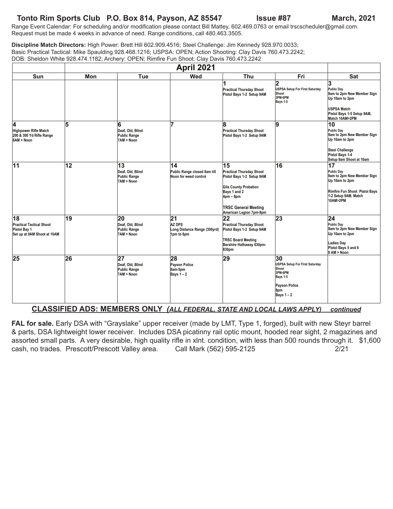### **Tonto Rim Sports Club P.O. Box 814, Payson, AZ 85547 Issue #87 March, 2021**

Range Event Calendar: For scheduling and/or modification please contact Bill Mattey, 602.469.0763 or email trscscheduler@gmail.com. Request must be made 4 weeks in advance of need. Range conditions, call 480.463.3505.

**Discipline Match Directors:** High Power: Brett Hill 602.909.4516; Steel Challenge: Jim Kennedy 928.970.0033; Basic Practical Tactical: Mike Spaulding 928.468.1216; USPSA: OPEN; Action Shooting: Clay Davis 760.473.2242; DOB: Sheldon White 928.474.1182; Archery: OPEN; Rimfire Fun Shoot: Clay Davis 760.473.2242

|                                                                                      | April 2021      |                                                             |                                                                   |                                                                                                                                                                                             |                                                                                                                     |                                                                                                                                          |
|--------------------------------------------------------------------------------------|-----------------|-------------------------------------------------------------|-------------------------------------------------------------------|---------------------------------------------------------------------------------------------------------------------------------------------------------------------------------------------|---------------------------------------------------------------------------------------------------------------------|------------------------------------------------------------------------------------------------------------------------------------------|
| Sun                                                                                  | Mon             | Tue                                                         | Wed                                                               | Thu                                                                                                                                                                                         | Fri                                                                                                                 | <b>Sat</b>                                                                                                                               |
|                                                                                      |                 |                                                             |                                                                   | 1<br><b>Practical Thursday Shoot</b><br>Pistol Bays 1-2 Setup 9AM                                                                                                                           | 2<br>USPSA Setup For First Saturday<br>Shoot<br>3PM-6PM<br>Bays 1-5                                                 | 3<br>Public Dav<br>9am to 2pm New Member Sign<br>Up 10am to 2pm<br>USPSA Match<br>Pistol Bays 1-5 Setup 9AM,<br>Match 10AM>2PM           |
| 4<br>Highpower Rifle Match<br>200 & 300 Yd Rifle Range<br>8AM > Noon                 | 5               | 6<br>Deaf, Old, Blind<br>Public Range<br>7AM > Noon         | 7                                                                 | 8<br><b>Practical Thursday Shoot</b><br>Pistol Bays 1-2 Setup 9AM                                                                                                                           | 9                                                                                                                   | 10<br>Public Day<br>9am to 2pm New Member Sign<br>Up 10am to 2pm<br><b>Steel Challenge</b><br>Pistol Bays 1-4<br>Setup 9am Shoot at 10am |
| $\overline{11}$                                                                      | $\overline{12}$ | 13<br>Deaf, Old, Blind<br>Public Range<br>7AM > Noon        | 14<br>Public Range closed 8am till<br>Noon for weed control       | 15<br><b>Practical Thursday Shoot</b><br>Pistol Bays 1-2 Setup 9AM<br><b>Gila County Probation</b><br>Bays 1 and 2<br>$4pm - 8pm$<br><b>TRSC General Meeting</b><br>American Legion 7pm-9pm | 16                                                                                                                  | 17<br>Public Day<br>9am to 2pm New Member Sign<br>Up 10am to 2pm<br>Rimfire Fun Shoot Pistol Bays<br>1-2 Setup 9AM, Match<br>10AM>2PM    |
| 18<br><b>Practical Tactical Shoot</b><br>Pistol Bay 1<br>Set up at 9AM Shoot at 10AM | 19              | 20<br>Deaf, Old, Blind<br><b>Public Range</b><br>7AM > Noon | 21<br><b>AZ DPS</b><br>Long Distance Range (300yrd)<br>1pm to 8pm | 22<br><b>Practical Thursday Shoot</b><br>Pistol Bays 1-2 Setup 9AM<br><b>TRSC Board Meeting</b><br>Bershire Hathaway 630pm-<br>830pm                                                        | 23                                                                                                                  | $ 24\rangle$<br>Public Day<br>9am to 2pm New Member Sign<br>Up 10am to 2pm<br>Ladies Day<br>Pistol Bays 5 and 6<br>9 AM > Noon           |
| 25                                                                                   | 26              | 27<br>Deaf, Old, Blind<br>Public Range<br>7AM > Noon        | 28<br><b>Payson Police</b><br>8am-5pm<br>Bays $1 - 2$             | 29                                                                                                                                                                                          | 30<br><b>USPSA Setup For First Saturday</b><br>Shoot<br>3PM-6PM<br>Bays 1-5<br>Payson Police<br>8pm<br>Bays $1 - 2$ |                                                                                                                                          |

**CLASSIFIED ADS: MEMBERS ONLY** *(ALL FEDERAL, STATE AND LOCAL LAWS APPLY) continued*

**FAL for sale.** Early DSA with "Grayslake" upper receiver (made by LMT, Type 1, forged), built with new Steyr barrel & parts, DSA lightweight lower receiver. Includes DSA picatinny rail optic mount, hooded rear sight, 2 magazines and assorted small parts. A very desirable, high quality rifle in xlnt. condition, with less than 500 rounds through it. \$1,600 cash, no trades. Prescott/Prescott Valley area. Call Mark (562) 595-2125 2/21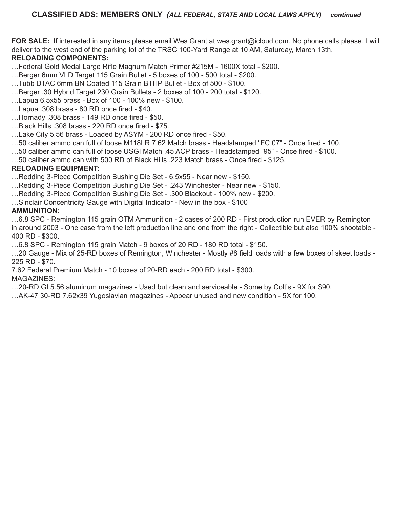**FOR SALE:** If interested in any items please email Wes Grant at wes.grant@icloud.com. No phone calls please. I will deliver to the west end of the parking lot of the TRSC 100-Yard Range at 10 AM, Saturday, March 13th.

### **RELOADING COMPONENTS:**

- …Federal Gold Medal Large Rifle Magnum Match Primer #215M 1600X total \$200.
- …Berger 6mm VLD Target 115 Grain Bullet 5 boxes of 100 500 total \$200.
- …Tubb DTAC 6mm BN Coated 115 Grain BTHP Bullet Box of 500 \$100.
- …Berger .30 Hybrid Target 230 Grain Bullets 2 boxes of 100 200 total \$120.
- …Lapua 6.5x55 brass Box of 100 100% new \$100.
- …Lapua .308 brass 80 RD once fired \$40.
- …Hornady .308 brass 149 RD once fired \$50.
- …Black Hills .308 brass 220 RD once fired \$75.
- …Lake City 5.56 brass Loaded by ASYM 200 RD once fired \$50.
- …50 caliber ammo can full of loose M118LR 7.62 Match brass Headstamped "FC 07" Once fired 100.
- …50 caliber ammo can full of loose USGI Match .45 ACP brass Headstamped "95" Once fired \$100.
- …50 caliber ammo can with 500 RD of Black Hills .223 Match brass Once fired \$125.

#### **RELOADING EQUIPMENT:**

- …Redding 3-Piece Competition Bushing Die Set 6.5x55 Near new \$150.
- …Redding 3-Piece Competition Bushing Die Set .243 Winchester Near new \$150.
- …Redding 3-Piece Competition Bushing Die Set .300 Blackout 100% new \$200.
- …Sinclair Concentricity Gauge with Digital Indicator New in the box \$100

#### **AMMUNITION:**

…6.8 SPC - Remington 115 grain OTM Ammunition - 2 cases of 200 RD - First production run EVER by Remington in around 2003 - One case from the left production line and one from the right - Collectible but also 100% shootable - 400 RD - \$300.

…6.8 SPC - Remington 115 grain Match - 9 boxes of 20 RD - 180 RD total - \$150.

…20 Gauge - Mix of 25-RD boxes of Remington, Winchester - Mostly #8 field loads with a few boxes of skeet loads - 225 RD - \$70.

7.62 Federal Premium Match - 10 boxes of 20-RD each - 200 RD total - \$300.

#### MAGAZINES:

…20-RD GI 5.56 aluminum magazines - Used but clean and serviceable - Some by Colt's - 9X for \$90.

…AK-47 30-RD 7.62x39 Yugoslavian magazines - Appear unused and new condition - 5X for 100.